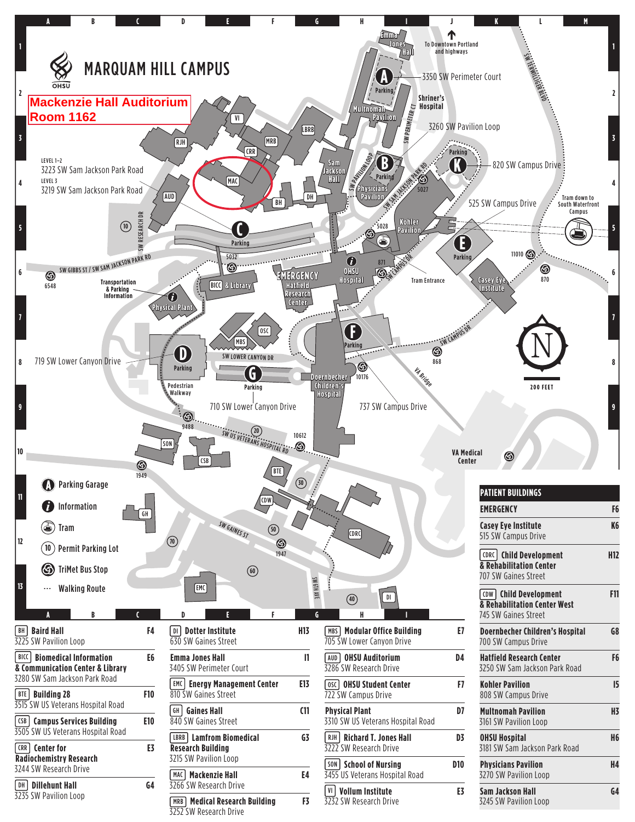